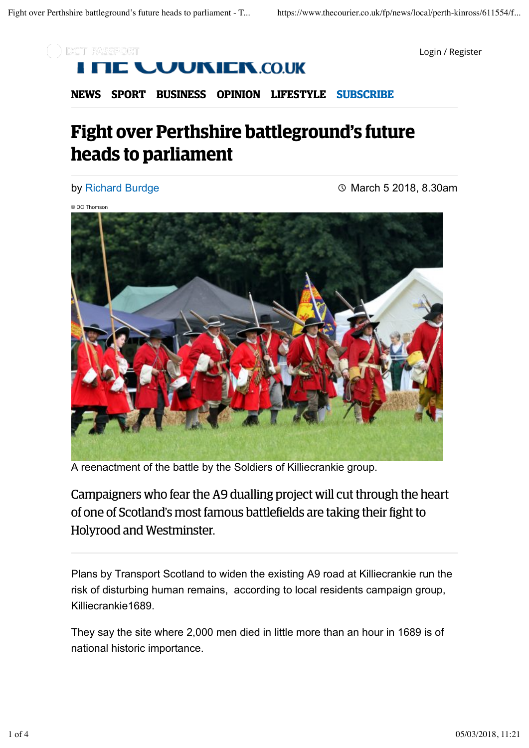

### ) DCT PASSPORT **JUKIEK.CO.UK**

**NEWS SPORT BUSINESS OPINION LIFESTYLE SUBSCRIBE**

# **Fight over Perthshire battleground's future heads to parliament**

#### by Richard Burdge

March 5 2018, 8.30am

© DC Thomson



A reenactment of the battle by the Soldiers of Killiecrankie group.

Campaigners who fear the A9 dualling project will cut through the heart of one of Scotland's most famous battlefields are taking their fight to Holyrood and Westminster.

Plans by Transport Scotland to widen the existing A9 road at Killiecrankie run the risk of disturbing human remains, according to local residents campaign group, Killiecrankie1689.

They say the site where 2,000 men died in little more than an hour in 1689 is of national historic importance.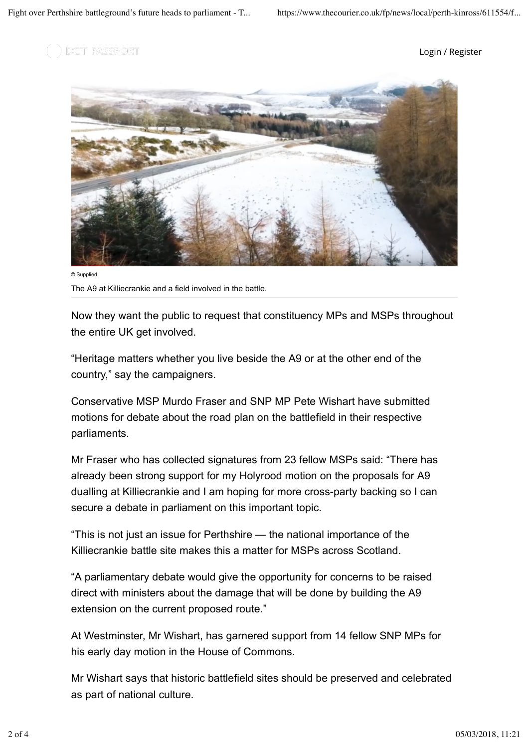) DCT PASSPORT

Login / Register



© Supplied The A9 at Killiecrankie and a field involved in the battle.

Now they want the public to request that constituency MPs and MSPs throughout the entire UK get involved.

"Heritage matters whether you live beside the A9 or at the other end of the country," say the campaigners.

Conservative MSP Murdo Fraser and SNP MP Pete Wishart have submitted motions for debate about the road plan on the battlefield in their respective parliaments.

Mr Fraser who has collected signatures from 23 fellow MSPs said: "There has already been strong support for my Holyrood motion on the proposals for A9 dualling at Killiecrankie and I am hoping for more cross-party backing so I can secure a debate in parliament on this important topic.

"This is not just an issue for Perthshire — the national importance of the Killiecrankie battle site makes this a matter for MSPs across Scotland.

"A parliamentary debate would give the opportunity for concerns to be raised direct with ministers about the damage that will be done by building the A9 extension on the current proposed route."

At Westminster, Mr Wishart, has garnered support from 14 fellow SNP MPs for his early day motion in the House of Commons.

Mr Wishart says that historic battlefield sites should be preserved and celebrated as part of national culture.